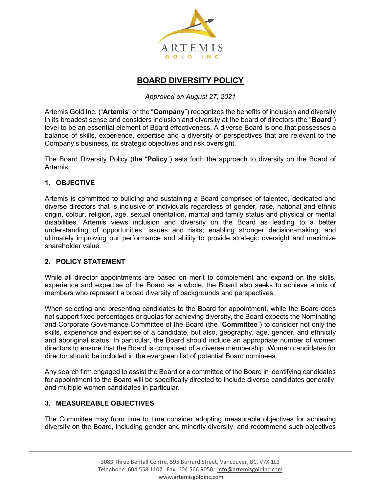

# **BOARD DIVERSITY POLICY**

#### *Approved on August 27, 2021*

Artemis Gold Inc. ("**Artemis**" or the "**Company**") recognizes the benefits of inclusion and diversity in its broadest sense and considers inclusion and diversity at the board of directors (the "**Board**") level to be an essential element of Board effectiveness. A diverse Board is one that possesses a balance of skills, experience, expertise and a diversity of perspectives that are relevant to the Company's business, its strategic objectives and risk oversight.

The Board Diversity Policy (the "**Policy**") sets forth the approach to diversity on the Board of Artemis.

## **1. OBJECTIVE**

Artemis is committed to building and sustaining a Board comprised of talented, dedicated and diverse directors that is inclusive of individuals regardless of gender, race, national and ethnic origin, colour, religion, age, sexual orientation, marital and family status and physical or mental disabilities. Artemis views inclusion and diversity on the Board as leading to a better understanding of opportunities, issues and risks; enabling stronger decision-making; and ultimately improving our performance and ability to provide strategic oversight and maximize shareholder value.

# **2. POLICY STATEMENT**

While all director appointments are based on merit to complement and expand on the skills, experience and expertise of the Board as a whole, the Board also seeks to achieve a mix of members who represent a broad diversity of backgrounds and perspectives.

When selecting and presenting candidates to the Board for appointment, while the Board does not support fixed percentages or quotas for achieving diversity, the Board expects the Nominating and Corporate Governance Committee of the Board (the "**Committee**") to consider not only the skills, experience and expertise of a candidate, but also, geography, age, gender, and ethnicity and aboriginal status. In particular, the Board should include an appropriate number of women directors.to ensure that the Board is comprised of a diverse membership. Women candidates for director should be included in the evergreen list of potential Board nominees.

Any search firm engaged to assist the Board or a committee of the Board in identifying candidates for appointment to the Board will be specifically directed to include diverse candidates generally, and multiple women candidates in particular.

#### **3. MEASUREABLE OBJECTIVES**

The Committee may from time to time consider adopting measurable objectives for achieving diversity on the Board, including gender and minority diversity, and recommend such objectives